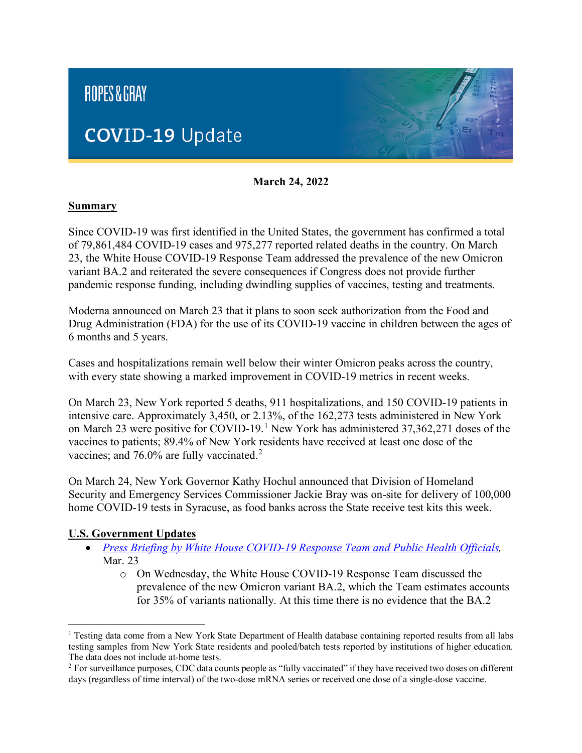

**March 24, 2022**

#### **Summary**

Since COVID-19 was first identified in the United States, the government has confirmed a total of 79,861,484 COVID-19 cases and 975,277 reported related deaths in the country. On March 23, the White House COVID-19 Response Team addressed the prevalence of the new Omicron variant BA.2 and reiterated the severe consequences if Congress does not provide further pandemic response funding, including dwindling supplies of vaccines, testing and treatments.

Moderna announced on March 23 that it plans to soon seek authorization from the Food and Drug Administration (FDA) for the use of its COVID-19 vaccine in children between the ages of 6 months and 5 years.

Cases and hospitalizations remain well below their winter Omicron peaks across the country, with every state showing a marked improvement in COVID-19 metrics in recent weeks.

On March 23, New York reported 5 deaths, 911 hospitalizations, and 150 COVID-19 patients in intensive care. Approximately 3,450, or 2.13%, of the 162,273 tests administered in New York on March 23 were positive for COVID-[1](#page-0-0)9.<sup>1</sup> New York has administered 37,362,271 doses of the vaccines to patients; 89.4% of New York residents have received at least one dose of the vaccines; and 76.0% are fully vaccinated.<sup>[2](#page-0-1)</sup>

On March 24, New York Governor Kathy Hochul announced that Division of Homeland Security and Emergency Services Commissioner Jackie Bray was on-site for delivery of 100,000 home COVID-19 tests in Syracuse, as food banks across the State receive test kits this week.

#### **U.S. Government Updates**

- *[Press Briefing by White House COVID-19 Response Team and Public Health Officials,](https://www.whitehouse.gov/briefing-room/press-briefings/2022/03/23/press-briefing-by-white-house-covid-19-response-team-and-public-health-officials-84/)* Mar. 23
	- o On Wednesday, the White House COVID-19 Response Team discussed the prevalence of the new Omicron variant BA.2, which the Team estimates accounts for 35% of variants nationally. At this time there is no evidence that the BA.2

<span id="page-0-0"></span><sup>&</sup>lt;sup>1</sup> Testing data come from a New York State Department of Health database containing reported results from all labs testing samples from New York State residents and pooled/batch tests reported by institutions of higher education. The data does not include at-home tests.

<span id="page-0-1"></span><sup>&</sup>lt;sup>2</sup> For surveillance purposes, CDC data counts people as "fully vaccinated" if they have received two doses on different days (regardless of time interval) of the two-dose mRNA series or received one dose of a single-dose vaccine.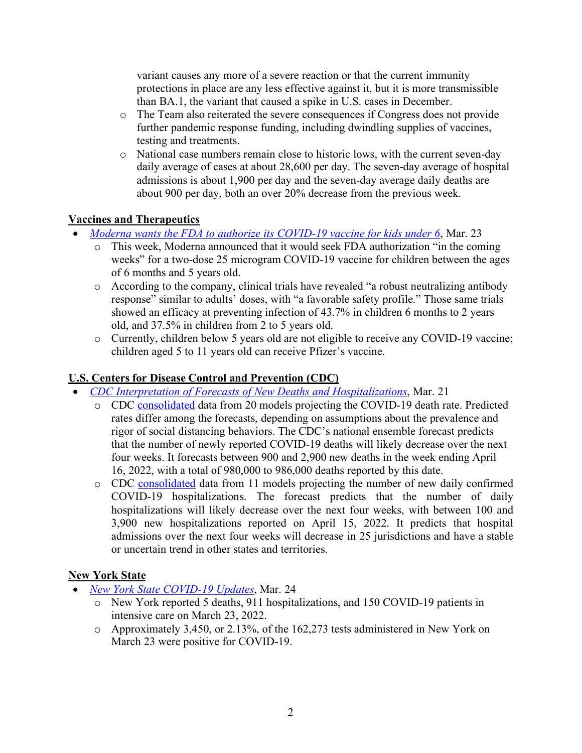variant causes any more of a severe reaction or that the current immunity protections in place are any less effective against it, but it is more transmissible than BA.1, the variant that caused a spike in U.S. cases in December.

- o The Team also reiterated the severe consequences if Congress does not provide further pandemic response funding, including dwindling supplies of vaccines, testing and treatments.
- o National case numbers remain close to historic lows, with the current seven-day daily average of cases at about 28,600 per day. The seven-day average of hospital admissions is about 1,900 per day and the seven-day average daily deaths are about 900 per day, both an over 20% decrease from the previous week.

### **Vaccines and Therapeutics**

- *[Moderna wants the FDA to authorize its COVID-19 vaccine for kids under 6](https://www.npr.org/2022/03/23/1088167753/moderna-covid-19-vaccine-children-fda)*, Mar. 23
	- o This week, Moderna announced that it would seek FDA authorization "in the coming weeks" for a two-dose 25 microgram COVID-19 vaccine for children between the ages of 6 months and 5 years old.
	- o According to the company, clinical trials have revealed "a robust neutralizing antibody response" similar to adults' doses, with "a favorable safety profile." Those same trials showed an efficacy at preventing infection of 43.7% in children 6 months to 2 years old, and 37.5% in children from 2 to 5 years old.
	- o Currently, children below 5 years old are not eligible to receive any COVID-19 vaccine; children aged 5 to 11 years old can receive Pfizer's vaccine.

### **U.S. Centers for Disease Control and Prevention (CDC)**

- *[CDC Interpretation of Forecasts of New Deaths and Hospitalizations](https://www.cdc.gov/coronavirus/2019-ncov/covid-data/mathematical-modeling.html)*, Mar. 21
	- o CDC [consolidated](https://www.cdc.gov/coronavirus/2019-ncov/covid-data/forecasting-us.html) data from 20 models projecting the COVID-19 death rate. Predicted rates differ among the forecasts, depending on assumptions about the prevalence and rigor of social distancing behaviors. The CDC's national ensemble forecast predicts that the number of newly reported COVID-19 deaths will likely decrease over the next four weeks. It forecasts between 900 and 2,900 new deaths in the week ending April 16, 2022, with a total of 980,000 to 986,000 deaths reported by this date.
	- o CDC [consolidated](https://www.cdc.gov/coronavirus/2019-ncov/cases-updates/hospitalizations-forecasts.html) data from 11 models projecting the number of new daily confirmed COVID-19 hospitalizations. The forecast predicts that the number of daily hospitalizations will likely decrease over the next four weeks, with between 100 and 3,900 new hospitalizations reported on April 15, 2022. It predicts that hospital admissions over the next four weeks will decrease in 25 jurisdictions and have a stable or uncertain trend in other states and territories.

### **New York State**

- *[New York State COVID-19 Updates](https://www.governor.ny.gov/news)*, Mar. 24
	- o New York reported 5 deaths, 911 hospitalizations, and 150 COVID-19 patients in intensive care on March 23, 2022.
	- o Approximately 3,450, or 2.13%, of the 162,273 tests administered in New York on March 23 were positive for COVID-19.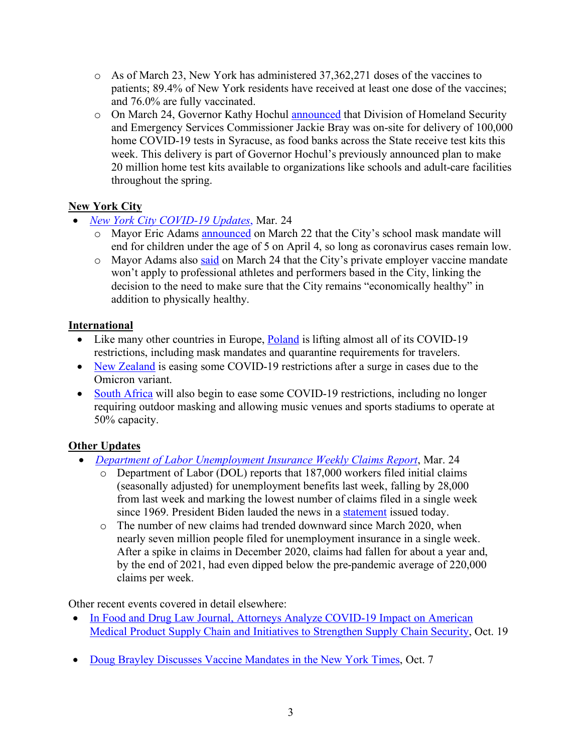- o As of March 23, New York has administered 37,362,271 doses of the vaccines to patients; 89.4% of New York residents have received at least one dose of the vaccines; and 76.0% are fully vaccinated.
- o On March 24, Governor Kathy Hochul [announced](https://www.governor.ny.gov/news/governor-hochul-updates-new-yorkers-states-progress-combating-covid-19-218) that Division of Homeland Security and Emergency Services Commissioner Jackie Bray was on-site for delivery of 100,000 home COVID-19 tests in Syracuse, as food banks across the State receive test kits this week. This delivery is part of Governor Hochul's previously announced plan to make 20 million home test kits available to organizations like schools and adult-care facilities throughout the spring.

# **New York City**

- *[New York City COVID-19 Updates](https://www1.nyc.gov/office-of-the-mayor/news.page)*, Mar. 24
	- o Mayor Eric Adams [announced](https://www.nytimes.com/video/nyregion/100000008266113/new-york-school-masks-under-five.html) on March 22 that the City's school mask mandate will end for children under the age of 5 on April 4, so long as coronavirus cases remain low.
	- o Mayor Adams also [said](https://www.nytimes.com/live/2022/03/24/world/covid-19-mandates-cases-vaccine/nycs-private-employer-vaccine-mandate-wont-apply-to-pro-athletes-the-mayor-says) on March 24 that the City's private employer vaccine mandate won't apply to professional athletes and performers based in the City, linking the decision to the need to make sure that the City remains "economically healthy" in addition to physically healthy.

## **International**

- Like many other countries in Europe, **Poland** is lifting almost all of its COVID-19 restrictions, including mask mandates and quarantine requirements for travelers.
- [New Zealand](https://apnews.com/article/covid-health-travel-business-covid-19-pandemic-6067be75f9b90301d16209d92e2b26cf) is easing some COVID-19 restrictions after a surge in cases due to the Omicron variant.
- [South Africa](https://apnews.com/article/covid-health-pandemics-africa-south-africa-7cfbd9f9300ee9aecdaafd46bfe45f5c) will also begin to ease some COVID-19 restrictions, including no longer requiring outdoor masking and allowing music venues and sports stadiums to operate at 50% capacity.

# **Other Updates**

- *[Department of Labor Unemployment Insurance Weekly Claims Report](https://www.dol.gov/sites/dolgov/files/OPA/newsreleases/ui-claims/20220537.pdf)*, Mar. 24
	- o Department of Labor (DOL) reports that 187,000 workers filed initial claims (seasonally adjusted) for unemployment benefits last week, falling by 28,000 from last week and marking the lowest number of claims filed in a single week since 1969. President Biden lauded the news in a [statement](https://www.whitehouse.gov/briefing-room/statements-releases/2022/03/24/statement-from-president-joe-biden-on-unemployment-insurance-claims-5/) issued today.
	- $\circ$  The number of new claims had trended downward since March 2020, when nearly seven million people filed for unemployment insurance in a single week. After a spike in claims in December 2020, claims had fallen for about a year and, by the end of 2021, had even dipped below the pre-pandemic average of 220,000 claims per week.

Other recent events covered in detail elsewhere:

- [In Food and Drug Law Journal, Attorneys Analyze COVID-19 Impact on American](https://www.ropesgray.com/en/newsroom/news/2021/October/In-Food-and-Drug-Law-Journal-Attorneys-Analyze-COVID-19-Impact-American-Medical-Product-Supply-Chain)  [Medical Product Supply Chain and Initiatives to Strengthen Supply Chain Security,](https://www.ropesgray.com/en/newsroom/news/2021/October/In-Food-and-Drug-Law-Journal-Attorneys-Analyze-COVID-19-Impact-American-Medical-Product-Supply-Chain) Oct. 19
- [Doug Brayley Discusses Vaccine Mandates in the New York Times,](https://www.ropesgray.com/en/newsroom/news/2021/October/Doug-Brayley-Discusses-Vaccine-Mandates-in-the-New-York-Times) Oct. 7